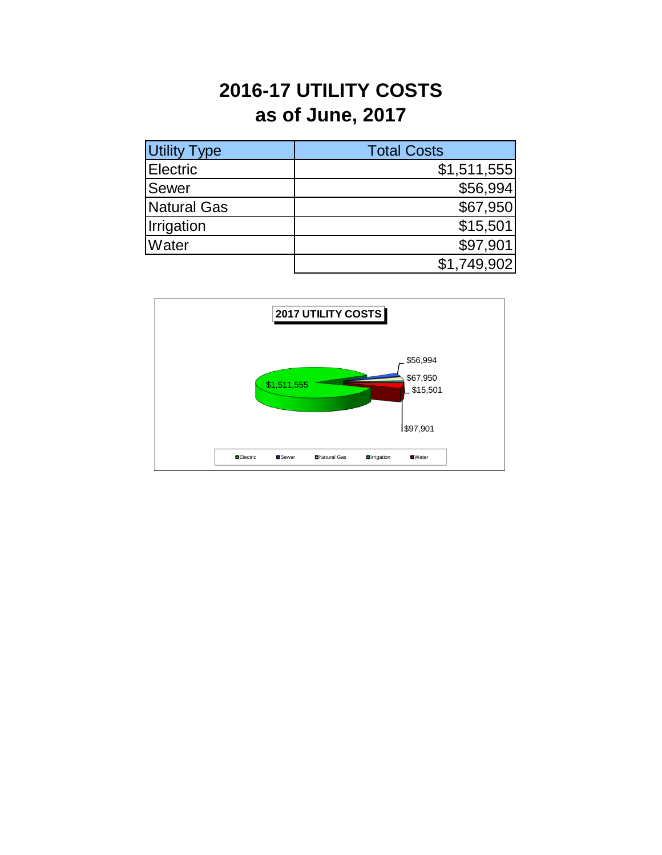## **2016-17 UTILITY COSTS as of June, 2017**

| <b>Utility Type</b> | <b>Total Costs</b> |
|---------------------|--------------------|
| <b>Electric</b>     | \$1,511,555        |
| <b>Sewer</b>        | \$56,994           |
| Natural Gas         | \$67,950           |
| Irrigation          | \$15,501           |
| Water               | \$97,901           |
|                     | \$1,749,902        |